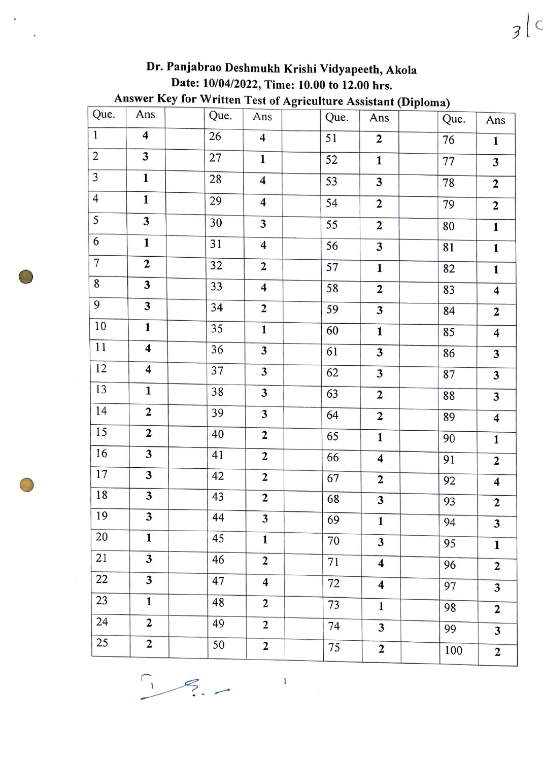|                         |                         | Dr. Panjabrao Deshmukh Krishi Vidyapeeth, Akola                        |                         |                 |                         |                 |                         |
|-------------------------|-------------------------|------------------------------------------------------------------------|-------------------------|-----------------|-------------------------|-----------------|-------------------------|
|                         |                         | Date: 10/04/2022, Time: 10.00 to 12.00 hrs.                            |                         |                 |                         |                 |                         |
| Que.                    | Ans                     | Answer Key for Written Test of Agriculture Assistant (Diploma)<br>Que. | Ans                     | Que.            | Ans                     | Que.            | Ans                     |
| $\mathbf{1}$            | $\overline{\mathbf{4}}$ | 26                                                                     | $\overline{\mathbf{4}}$ | 51              | $\mathbf{2}$            | 76              |                         |
| $\overline{c}$          | 3                       | 27                                                                     | $\mathbf{1}$            | $\overline{52}$ |                         |                 | $\mathbf{1}$            |
| $\overline{\mathbf{3}}$ | $\mathbf{1}$            | 28                                                                     |                         |                 | $\mathbf{1}$            | $\overline{77}$ | $\overline{\mathbf{3}}$ |
|                         |                         |                                                                        | $\overline{\mathbf{4}}$ | 53              | 3                       | 78              | $\mathbf{2}$            |
| $\overline{4}$          | $\mathbf 1$             | 29                                                                     | $\overline{\mathbf{4}}$ | 54              | $\overline{2}$          | 79              | $\overline{2}$          |
| 5                       | 3                       | 30                                                                     | 3                       | 55              | $\overline{2}$          | 80              | $\mathbf{1}$            |
| $\overline{6}$          | $\mathbf{1}$            | 31                                                                     | $\overline{\mathbf{4}}$ | 56              | $\overline{\mathbf{3}}$ | 81              | $\mathbf{1}$            |
| $\overline{7}$          | $\mathbf{2}$            | $\overline{32}$                                                        | $\overline{2}$          | 57              | $\mathbf{1}$            | 82              | $\mathbf{1}$            |
| 8                       | 3                       | 33                                                                     | $\overline{\mathbf{4}}$ | 58              | $\mathbf{2}$            | 83              | $\overline{\mathbf{4}}$ |
| 9                       | 3                       | 34                                                                     | $\overline{2}$          | 59              | 3                       | 84              | $\mathbf{2}$            |
| 10                      | $\mathbf{1}$            | 35                                                                     | $\mathbf{1}$            | 60              | $\mathbf{1}$            | 85              | $\overline{\mathbf{4}}$ |
| 11                      | $\overline{\mathbf{4}}$ | 36                                                                     | 3                       | 61              | 3                       | 86              | 3                       |
| 12                      | $\overline{\mathbf{4}}$ | 37                                                                     | $\overline{\mathbf{3}}$ | 62              | 3                       | 87              | 3                       |
| 13                      | $\mathbf{1}$            | 38                                                                     | 3                       | 63              | $\mathbf{2}$            | 88              | 3                       |
| 14                      | $\overline{2}$          | 39                                                                     | 3                       | 64              | $\overline{2}$          | 89              | $\overline{\mathbf{4}}$ |
| 15                      | $\mathbf{2}$            | 40                                                                     | $\overline{2}$          | 65              | $\overline{\mathbf{1}}$ | 90              | $\mathbf{1}$            |
| 16                      | 3                       | 41                                                                     | $\overline{2}$          | 66              | $\overline{\mathbf{4}}$ | 91              | $\overline{2}$          |
| 17                      | 3                       | 42                                                                     | $\boldsymbol{2}$        | 67              | $\mathbf{2}$            | 92              | $\overline{\mathbf{4}}$ |
| 18                      | 3                       | 43                                                                     | $\mathbf{2}$            | 68              | 3                       | 93              | $\mathbf{2}$            |
| 19                      | 3                       | 44                                                                     | 3                       | 69              | $\mathbf{1}$            | 94              | $\overline{\mathbf{3}}$ |
| 20                      | $\mathbf{1}$            | 45                                                                     | $\mathbf{1}$            | 70              | 3                       | 95              | $\mathbf{1}$            |
| 21                      | 3                       | 46                                                                     | $\overline{2}$          | 71              | $\overline{\mathbf{4}}$ | 96              | $\overline{2}$          |
| 22                      | $\overline{\mathbf{3}}$ | 47                                                                     | $\overline{\mathbf{4}}$ | 72              | $\overline{\mathbf{4}}$ | 97              | 3                       |
| $\overline{23}$         | $\mathbf{1}$            | 48                                                                     | $\mathbf{2}$            | 73              | $\mathbf{1}$            | 98              | $\overline{2}$          |
| 24                      | $\mathbf{2}$            | 49                                                                     | $\mathbf 2$             | 74              | $\mathbf{3}$            | 99              | $\overline{\mathbf{3}}$ |
| 25                      | $\overline{2}$          | 50                                                                     | $\overline{2}$          | 75              | $\overline{2}$          | 100             | $\overline{2}$          |

 $3|c$ 

 $\frac{1}{2}$ 

 $\bullet$ 

 $\ddot{\phantom{1}}$ 

**0** 

 $\frac{1}{2}$